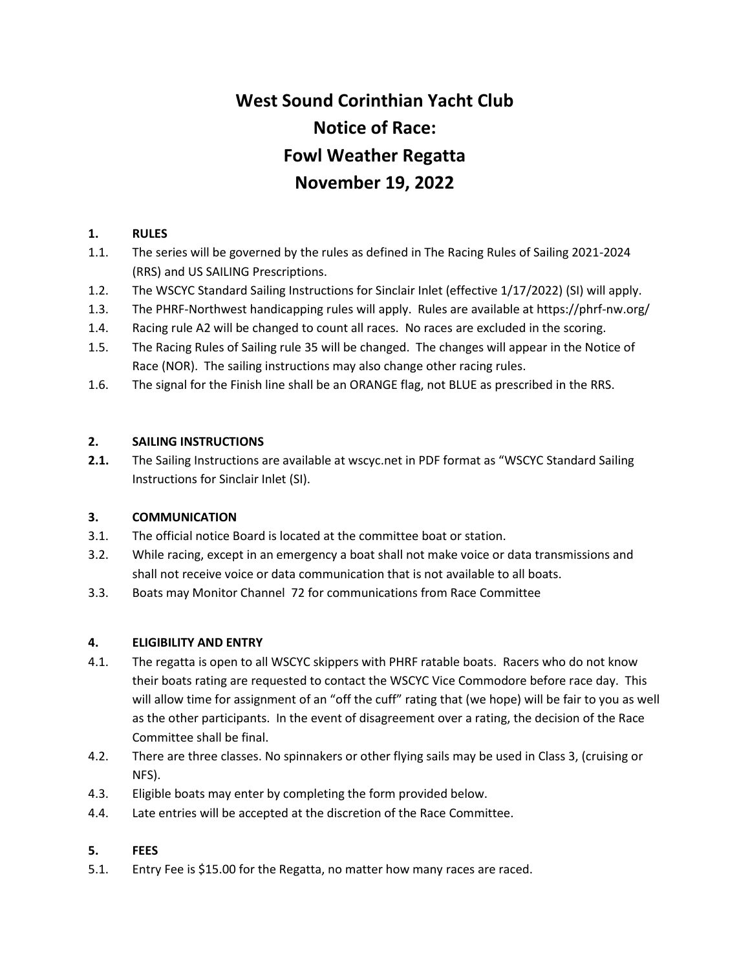# **West Sound Corinthian Yacht Club Notice of Race: Fowl Weather Regatta November 19, 2022**

## **1. RULES**

- 1.1. The series will be governed by the rules as defined in The Racing Rules of Sailing 2021-2024 (RRS) and US SAILING Prescriptions.
- 1.2. The WSCYC Standard Sailing Instructions for Sinclair Inlet (effective 1/17/2022) (SI) will apply.
- 1.3. The PHRF-Northwest handicapping rules will apply. Rules are available at https://phrf-nw.org/
- 1.4. Racing rule A2 will be changed to count all races. No races are excluded in the scoring.
- 1.5. The Racing Rules of Sailing rule 35 will be changed. The changes will appear in the Notice of Race (NOR). The sailing instructions may also change other racing rules.
- 1.6. The signal for the Finish line shall be an ORANGE flag, not BLUE as prescribed in the RRS.

# **2. SAILING INSTRUCTIONS**

**2.1.** The Sailing Instructions are available at wscyc.net in PDF format as "WSCYC Standard Sailing Instructions for Sinclair Inlet (SI).

### **3. COMMUNICATION**

- 3.1. The official notice Board is located at the committee boat or station.
- 3.2. While racing, except in an emergency a boat shall not make voice or data transmissions and shall not receive voice or data communication that is not available to all boats.
- 3.3. Boats may Monitor Channel 72 for communications from Race Committee

### **4. ELIGIBILITY AND ENTRY**

- 4.1. The regatta is open to all WSCYC skippers with PHRF ratable boats. Racers who do not know their boats rating are requested to contact the WSCYC Vice Commodore before race day. This will allow time for assignment of an "off the cuff" rating that (we hope) will be fair to you as well as the other participants. In the event of disagreement over a rating, the decision of the Race Committee shall be final.
- 4.2. There are three classes. No spinnakers or other flying sails may be used in Class 3, (cruising or NFS).
- 4.3. Eligible boats may enter by completing the form provided below.
- 4.4. Late entries will be accepted at the discretion of the Race Committee.

### **5. FEES**

5.1. Entry Fee is \$15.00 for the Regatta, no matter how many races are raced.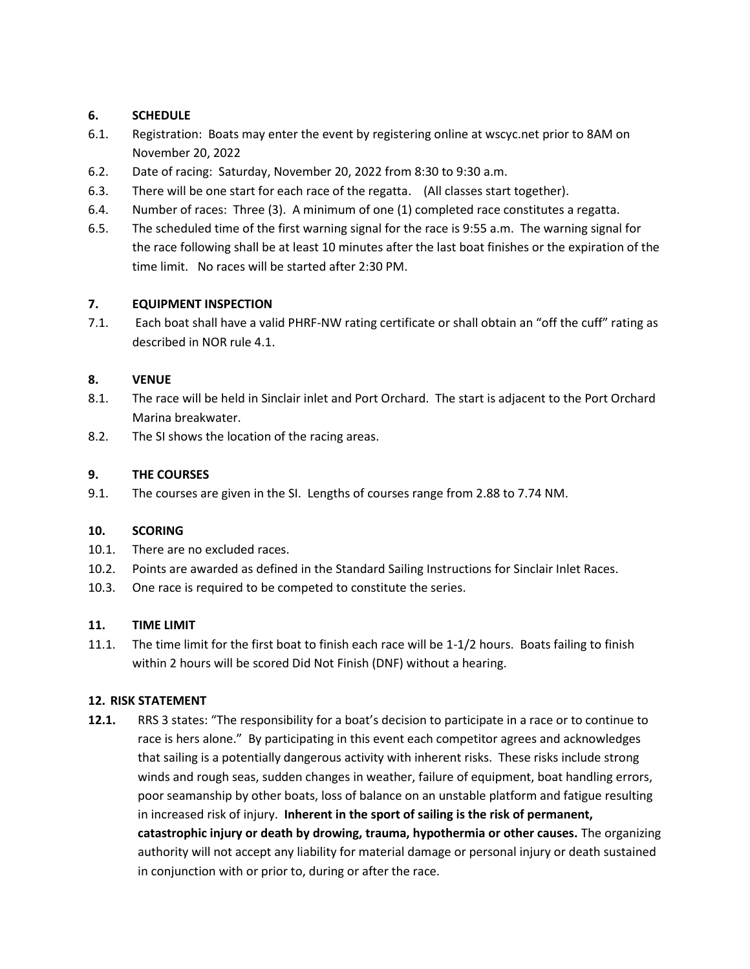# **6. SCHEDULE**

- 6.1. Registration: Boats may enter the event by registering online at wscyc.net prior to 8AM on November 20, 2022
- 6.2. Date of racing: Saturday, November 20, 2022 from 8:30 to 9:30 a.m.
- 6.3. There will be one start for each race of the regatta. (All classes start together).
- 6.4. Number of races: Three (3). A minimum of one (1) completed race constitutes a regatta.
- 6.5. The scheduled time of the first warning signal for the race is 9:55 a.m. The warning signal for the race following shall be at least 10 minutes after the last boat finishes or the expiration of the time limit. No races will be started after 2:30 PM.

### **7. EQUIPMENT INSPECTION**

7.1. Each boat shall have a valid PHRF-NW rating certificate or shall obtain an "off the cuff" rating as described in NOR rule 4.1.

### **8. VENUE**

- 8.1. The race will be held in Sinclair inlet and Port Orchard. The start is adjacent to the Port Orchard Marina breakwater.
- 8.2. The SI shows the location of the racing areas.

#### **9. THE COURSES**

9.1. The courses are given in the SI. Lengths of courses range from 2.88 to 7.74 NM.

#### **10. SCORING**

- 10.1. There are no excluded races.
- 10.2. Points are awarded as defined in the Standard Sailing Instructions for Sinclair Inlet Races.
- 10.3. One race is required to be competed to constitute the series.

#### **11. TIME LIMIT**

11.1. The time limit for the first boat to finish each race will be 1-1/2 hours. Boats failing to finish within 2 hours will be scored Did Not Finish (DNF) without a hearing.

#### **12. RISK STATEMENT**

**12.1.** RRS 3 states: "The responsibility for a boat's decision to participate in a race or to continue to race is hers alone." By participating in this event each competitor agrees and acknowledges that sailing is a potentially dangerous activity with inherent risks. These risks include strong winds and rough seas, sudden changes in weather, failure of equipment, boat handling errors, poor seamanship by other boats, loss of balance on an unstable platform and fatigue resulting in increased risk of injury. **Inherent in the sport of sailing is the risk of permanent, catastrophic injury or death by drowing, trauma, hypothermia or other causes.** The organizing authority will not accept any liability for material damage or personal injury or death sustained in conjunction with or prior to, during or after the race.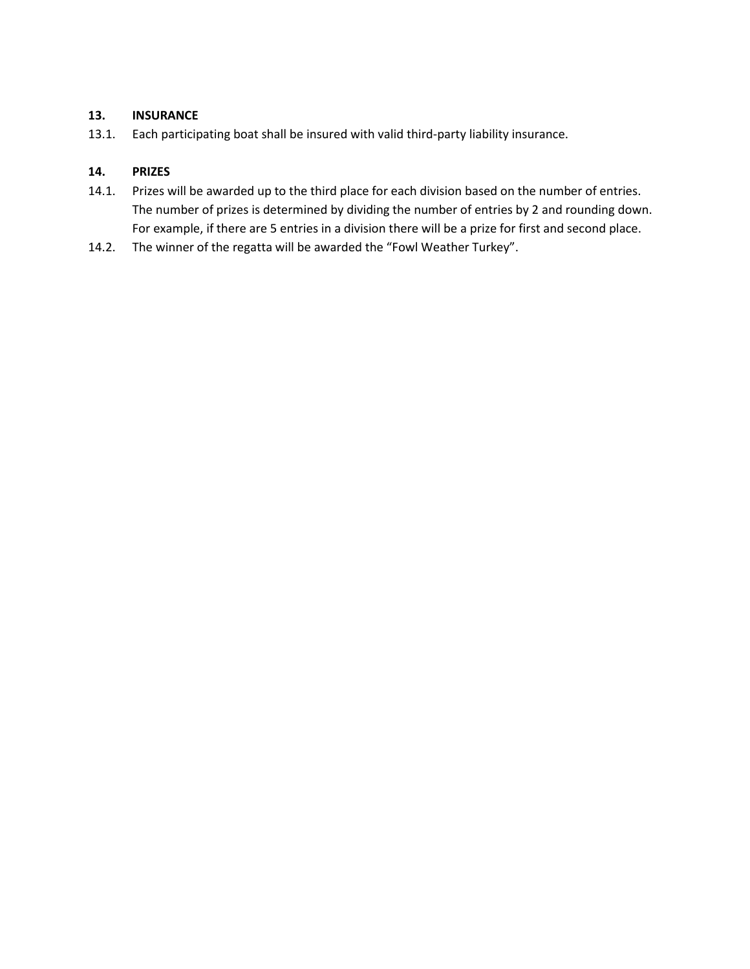### **13. INSURANCE**

13.1. Each participating boat shall be insured with valid third-party liability insurance.

### **14. PRIZES**

- 14.1. Prizes will be awarded up to the third place for each division based on the number of entries. The number of prizes is determined by dividing the number of entries by 2 and rounding down. For example, if there are 5 entries in a division there will be a prize for first and second place.
- 14.2. The winner of the regatta will be awarded the "Fowl Weather Turkey".